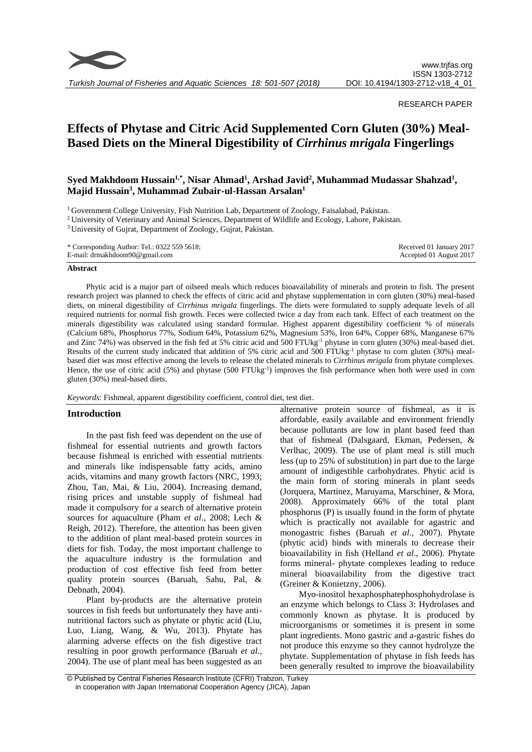

*Turkish Journal of Fisheries and Aquatic Sciences 18: 501-507 (2018)*

## RESEARCH PAPER

# **Effects of Phytase and Citric Acid Supplemented Corn Gluten (30%) Meal-Based Diets on the Mineral Digestibility of** *Cirrhinus mrigala* **Fingerlings**

## **Syed Makhdoom Hussain1,\*, Nisar Ahmad<sup>1</sup> , Arshad Javid<sup>2</sup> , Muhammad Mudassar Shahzad<sup>1</sup> , Majid Hussain<sup>3</sup> , Muhammad Zubair-ul-Hassan Arsalan<sup>1</sup>**

<sup>1</sup> Government College University, Fish Nutrition Lab, Department of Zoology, Faisalabad, Pakistan.

<sup>2</sup> University of Veterinary and Animal Sciences, Department of Wildlife and Ecology, Lahore, Pakistan.

<sup>3</sup> University of Gujrat, Department of Zoology, Gujrat, Pakistan.

\* Corresponding Author: Tel.: 0322 559 5618; E-mail: drmakhdoom90@gmail.com Received 01 January 2017 Accepted 01 August 2017

## **Abstract**

Phytic acid is a major part of oilseed meals which reduces bioavailability of minerals and protein to fish. The present research project was planned to check the effects of citric acid and phytase supplementation in corn gluten (30%) meal-based diets, on mineral digestibility of *Cirrhinus mrigala* fingerlings. The diets were formulated to supply adequate levels of all required nutrients for normal fish growth. Feces were collected twice a day from each tank. Effect of each treatment on the minerals digestibility was calculated using standard formulae. Highest apparent digestibility coefficient % of minerals (Calcium 68%, Phosphorus 77%, Sodium 64%, Potassium 62%, Magnesium 53%, Iron 64%, Copper 68%, Manganese 67% and Zinc 74%) was observed in the fish fed at 5% citric acid and 500 FTUkg-1 phytase in corn gluten (30%) meal-based diet. Results of the current study indicated that addition of 5% citric acid and 500 FTUkg-1 phytase to corn gluten (30%) mealbased diet was most effective among the levels to release the chelated minerals to *Cirrhinus mrigala* from phytate complexes. Hence, the use of citric acid (5%) and phytase (500 FTUkg<sup>-1</sup>) improves the fish performance when both were used in corn gluten (30%) meal-based diets.

*Keywords*: Fishmeal, apparent digestibility coefficient, control diet, test diet.

## **Introduction**

In the past fish feed was dependent on the use of fishmeal for essential nutrients and growth factors because fishmeal is enriched with essential nutrients and minerals like indispensable fatty acids, amino acids, vitamins and many growth factors (NRC, 1993; Zhou, Tan, Mai, & Liu, 2004). Increasing demand, rising prices and unstable supply of fishmeal had made it compulsory for a search of alternative protein sources for aquaculture (Pham *et al*., 2008; Lech & Reigh, 2012). Therefore, the attention has been given to the addition of plant meal-based protein sources in diets for fish. Today, the most important challenge to the aquaculture industry is the formulation and production of cost effective fish feed from better quality protein sources (Baruah, Sahu, Pal, & Debnath, 2004).

Plant by-products are the alternative protein sources in fish feeds but unfortunately they have antinutritional factors such as phytate or phytic acid (Liu, Luo, Liang, Wang, & Wu, 2013). Phytate has alarming adverse effects on the fish digestive tract resulting in poor growth performance (Baruah *et al.*, 2004). The use of plant meal has been suggested as an alternative protein source of fishmeal, as it is affordable, easily available and environment friendly because pollutants are low in plant based feed than that of fishmeal (Dalsgaard, Ekman, Pedersen, & Verlhac, 2009). The use of plant meal is still much less (up to 25% of substitution) in part due to the large amount of indigestible carbohydrates. Phytic acid is the main form of storing minerals in plant seeds (Jorquera, Martinez, Maruyama, Marschiner, & Mora, 2008). Approximately 66% of the total plant phosphorus (P) is usually found in the form of phytate which is practically not available for agastric and monogastric fishes (Baruah *et al*., 2007). Phytate (phytic acid) binds with minerals to decrease their bioavailability in fish (Helland *et al*., 2006). Phytate forms mineral- phytate complexes leading to reduce mineral bioavailability from the digestive tract (Greiner & Konietzny, 2006).

Myo-inositol hexaphosphatephosphohydrolase is an enzyme which belongs to Class 3: Hydrolases and commonly known as phytase. It is produced by microorganisms or sometimes it is present in some plant ingredients. Mono gastric and a-gastric fishes do not produce this enzyme so they cannot hydrolyze the phytate. Supplementation of phytase in fish feeds has been generally resulted to improve the bioavailability

<sup>©</sup> Published by Central Fisheries Research Institute (CFRI) Trabzon, Turkey in cooperation with Japan International Cooperation Agency (JICA), Japan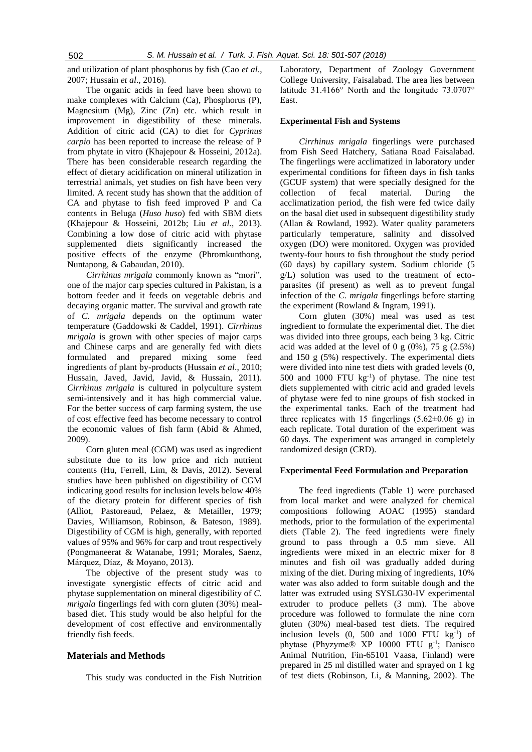and utilization of plant phosphorus by fish (Cao *et al*., 2007; Hussain *et al*., 2016).

The organic acids in feed have been shown to make complexes with Calcium (Ca), Phosphorus (P), Magnesium (Mg), Zinc (Zn) etc. which result in improvement in digestibility of these minerals. Addition of citric acid (CA) to diet for *Cyprinus carpio* has been reported to increase the release of P from phytate in vitro (Khajepour & [Hosseini,](http://www.sciencedirect.com/science/article/pii/S0377840111004159) 2012a). There has been considerable research regarding the effect of dietary acidification on mineral utilization in terrestrial animals, yet studies on fish have been very limited. A recent study has shown that the addition of CA and phytase to fish feed improved P and Ca contents in Beluga (*Huso huso*) fed with SBM diets (Khajepour & [Hosseini,](http://www.sciencedirect.com/science/article/pii/S0377840111004159) 2012b; Liu *et al.*, 2013). Combining a low dose of citric acid with phytase supplemented diets significantly increased the positive effects of the enzyme (Phromkunthong, Nuntapong, & Gabaudan, 2010).

*Cirrhinus mrigala* commonly known as "mori", one of the major carp species cultured in Pakistan, is a bottom feeder and it feeds on vegetable debris and decaying organic matter. The survival and growth rate of *C. mrigala* depends on the optimum water temperature (Gaddowski & Caddel, 1991). *Cirrhinus mrigala* is grown with other species of major carps and Chinese carps and are generally fed with diets formulated and prepared mixing some feed ingredients of plant by-products (Hussain *et al*., 2010; Hussain, Javed, Javid, Javid, & Hussain, 2011). *Cirrhinus mrigala* is cultured in polyculture system semi-intensively and it has high commercial value. For the better success of carp farming system, the use of cost effective feed has become necessary to control the economic values of fish farm (Abid & Ahmed, 2009).

Corn gluten meal (CGM) was used as ingredient substitute due to its low price and rich nutrient contents (Hu, Ferrell, Lim, & Davis, 2012). Several studies have been published on digestibility of CGM indicating good results for inclusion levels below 40% of the dietary protein for different species of fish (Alliot, Pastoreaud, Pelaez, & Metailler, 1979; Davies, Williamson, Robinson, & Bateson, 1989). Digestibility of CGM is high, generally, with reported values of 95% and 96% for carp and trout respectively (Pongmaneerat & Watanabe, 1991; [Morales,](http://www.sciencedirect.com/science/article/pii/S0377840113000564) [Saenz,](http://www.sciencedirect.com/science/article/pii/S0377840113000564) [Márquez,](http://www.sciencedirect.com/science/article/pii/S0377840113000564) [Díaz,](http://www.sciencedirect.com/science/article/pii/S0377840113000564) & [Moyano,](http://www.sciencedirect.com/science/article/pii/S0377840113000564) 2013).

The objective of the present study was to investigate synergistic effects of citric acid and phytase supplementation on mineral digestibility of *C. mrigala* fingerlings fed with corn gluten (30%) mealbased diet. This study would be also helpful for the development of cost effective and environmentally friendly fish feeds.

## **Materials and Methods**

This study was conducted in the Fish Nutrition

Laboratory, Department of Zoology Government College University, Faisalabad. The area lies between latitude 31.4166° North and the longitude 73.0707° East.

## **Experimental Fish and Systems**

*Cirrhinus mrigala* fingerlings were purchased from Fish Seed Hatchery, Satiana Road Faisalabad. The fingerlings were acclimatized in laboratory under experimental conditions for fifteen days in fish tanks (GCUF system) that were specially designed for the collection of fecal material. During the acclimatization period, the fish were fed twice daily on the basal diet used in subsequent digestibility study (Allan & Rowland, 1992). Water quality parameters particularly temperature, salinity and dissolved oxygen (DO) were monitored. Oxygen was provided twenty-four hours to fish throughout the study period (60 days) by capillary system. Sodium chloride (5 g/L) solution was used to the treatment of ectoparasites (if present) as well as to prevent fungal infection of the *C. mrigala* fingerlings before starting the experiment (Rowland & Ingram, 1991).

Corn gluten (30%) meal was used as test ingredient to formulate the experimental diet. The diet was divided into three groups, each being 3 kg. Citric acid was added at the level of 0 g  $(0\%)$ , 75 g  $(2.5\%)$ and 150 g (5%) respectively. The experimental diets were divided into nine test diets with graded levels (0, 500 and 1000 FTU kg-1 ) of phytase. The nine test diets supplemented with citric acid and graded levels of phytase were fed to nine groups of fish stocked in the experimental tanks. Each of the treatment had three replicates with 15 fingerlings  $(5.62\pm0.06 \text{ g})$  in each replicate. Total duration of the experiment was 60 days. The experiment was arranged in completely randomized design (CRD).

#### **Experimental Feed Formulation and Preparation**

The feed ingredients (Table 1) were purchased from local market and were analyzed for chemical compositions following AOAC (1995) standard methods, prior to the formulation of the experimental diets (Table 2). The feed ingredients were finely ground to pass through a 0.5 mm sieve. All ingredients were mixed in an electric mixer for 8 minutes and fish oil was gradually added during mixing of the diet. During mixing of ingredients, 10% water was also added to form suitable dough and the latter was extruded using SYSLG30-IV experimental extruder to produce pellets (3 mm). The above procedure was followed to formulate the nine corn gluten (30%) meal-based test diets. The required inclusion levels  $(0, 500$  and  $1000$  FTU kg<sup>-1</sup>) of phytase (Phyzyme® XP 10000 FTU g-1 ; Danisco Animal Nutrition, Fin-65101 Vaasa, Finland) were prepared in 25 ml distilled water and sprayed on 1 kg of test diets (Robinson, Li, & Manning, 2002). The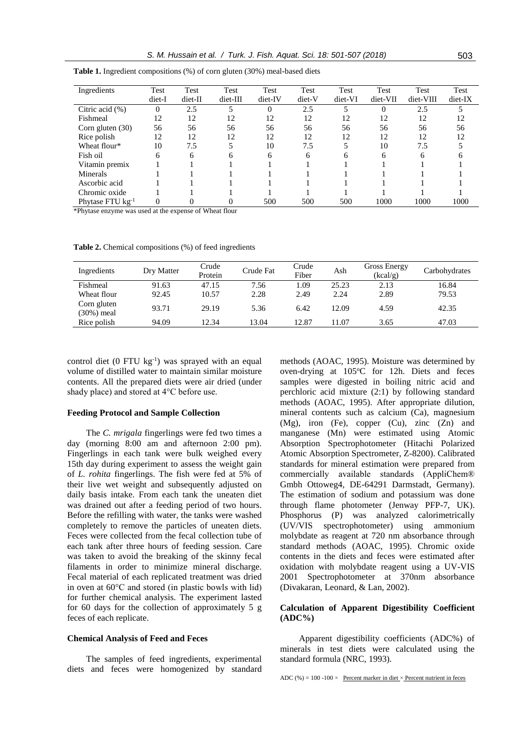| Ingredients           | Test   | Test    | Test     | Test     | Test   | Test    | Test     | Test      | Test    |
|-----------------------|--------|---------|----------|----------|--------|---------|----------|-----------|---------|
|                       | diet-I | diet-II | diet-III | diet-IV  | diet-V | diet-VI | diet-VII | diet-VIII | diet-IX |
| Citric acid $(\% )$   | 0      | 2.5     |          | $\theta$ | 2.5    | 5       | $\Omega$ | 2.5       |         |
| Fishmeal              | 12     | 12      | 12       | 12       | 12     | 12      | 12       | 12        | 12      |
| Corn gluten $(30)$    | 56     | 56      | 56       | 56       | 56     | 56      | 56       | 56        | 56      |
| Rice polish           | 12     | 12      | 12       | 12       | 12     | 12      | 12       | 12        | 12      |
| Wheat flour*          | 10     | 7.5     |          | 10       | 7.5    | 5       | 10       | 7.5       |         |
| Fish oil              | 6      | 6       | 6        | 6        | 6      | 6       | 6        | 6         | 6       |
| Vitamin premix        |        |         |          |          |        |         |          |           |         |
| Minerals              |        |         |          |          |        |         |          |           |         |
| Ascorbic acid         |        |         |          |          |        |         |          |           |         |
| Chromic oxide         |        |         |          |          |        |         |          |           |         |
| Phytase FTU $kg^{-1}$ | 0      | 0       |          | 500      | 500    | 500     | 1000     | 1000      | 1000    |

**Table 1.** Ingredient compositions (%) of corn gluten (30%) meal-based diets

\*Phytase enzyme was used at the expense of Wheat flour

**Table 2.** Chemical compositions (%) of feed ingredients

| Ingredients               | Dry Matter | Crude<br>Protein | Crude Fat | Crude<br>Fiber | Ash   | Gross Energy<br>(kcal/g) | Carbohydrates |
|---------------------------|------------|------------------|-----------|----------------|-------|--------------------------|---------------|
| Fishmeal                  | 91.63      | 47.15            | 7.56      | 1.09           | 25.23 | 2.13                     | 16.84         |
| Wheat flour               | 92.45      | 10.57            | 2.28      | 2.49           | 2.24  | 2.89                     | 79.53         |
| Corn gluten<br>(30%) meal | 93.71      | 29.19            | 5.36      | 6.42           | 12.09 | 4.59                     | 42.35         |
| Rice polish               | 94.09      | 12.34            | 13.04     | 12.87          | 11.07 | 3.65                     | 47.03         |

control diet  $(0$  FTU kg<sup>-1</sup>) was sprayed with an equal volume of distilled water to maintain similar moisture contents. All the prepared diets were air dried (under shady place) and stored at 4°C before use.

#### **Feeding Protocol and Sample Collection**

The *C. mrigala* fingerlings were fed two times a day (morning 8:00 am and afternoon 2:00 pm). Fingerlings in each tank were bulk weighed every 15th day during experiment to assess the weight gain of *L. rohita* fingerlings. The fish were fed at 5% of their live wet weight and subsequently adjusted on daily basis intake*.* From each tank the uneaten diet was drained out after a feeding period of two hours. Before the refilling with water, the tanks were washed completely to remove the particles of uneaten diets. Feces were collected from the fecal collection tube of each tank after three hours of feeding session. Care was taken to avoid the breaking of the skinny fecal filaments in order to minimize mineral discharge. Fecal material of each replicated treatment was dried in oven at 60°C and stored (in plastic bowls with lid) for further chemical analysis. The experiment lasted for 60 days for the collection of approximately 5 g feces of each replicate.

## **Chemical Analysis of Feed and Feces**

The samples of feed ingredients, experimental diets and feces were homogenized by standard

methods (AOAC, 1995). Moisture was determined by oven-drying at 105°C for 12h. Diets and feces samples were digested in boiling nitric acid and perchloric acid mixture (2:1) by following standard methods (AOAC, 1995). After appropriate dilution, mineral contents such as calcium (Ca), magnesium (Mg), iron (Fe), copper (Cu), zinc (Zn) and manganese (Mn) were estimated using Atomic Absorption Spectrophotometer (Hitachi Polarized Atomic Absorption Spectrometer, Z-8200). Calibrated standards for mineral estimation were prepared from commercially available standards (AppliChem® Gmbh Ottoweg4, DE-64291 Darmstadt, Germany). The estimation of sodium and potassium was done through flame photometer (Jenway PFP-7, UK). Phosphorus (P) was analyzed calorimetrically (UV/VIS spectrophotometer) using ammonium molybdate as reagent at 720 nm absorbance through standard methods (AOAC, 1995). Chromic oxide contents in the diets and feces were estimated after oxidation with molybdate reagent using a UV-VIS 2001 Spectrophotometer at 370nm absorbance (Divakaran, Leonard, & Lan, 2002).

## **Calculation of Apparent Digestibility Coefficient (ADC%)**

Apparent digestibility coefficients (ADC%) of minerals in test diets were calculated using the standard formula (NRC, 1993).

ADC (%) = 100 -100  $\times$  Percent marker in diet  $\times$  Percent nutrient in feces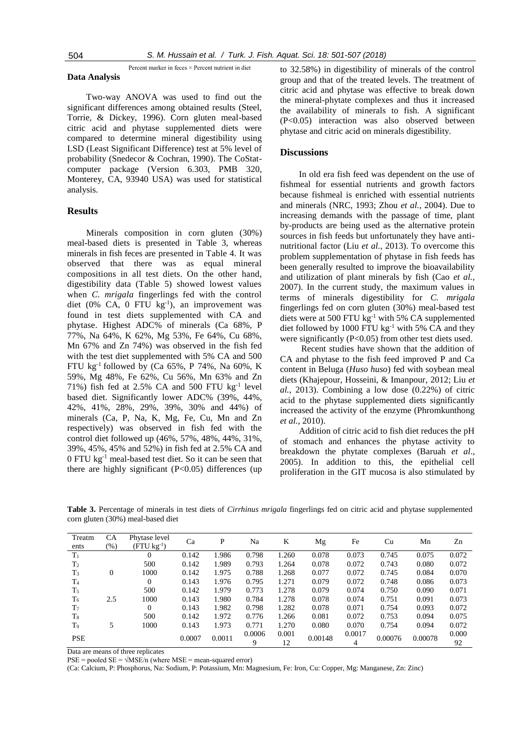Percent marker in feces × Percent nutrient in diet

#### **Data Analysis**

Two-way ANOVA was used to find out the significant differences among obtained results (Steel, Torrie, & Dickey, 1996). Corn gluten meal-based citric acid and phytase supplemented diets were compared to determine mineral digestibility using LSD (Least Significant Difference) test at 5% level of probability (Snedecor & Cochran, 1990). The CoStatcomputer package (Version 6.303, PMB 320, Monterey, CA, 93940 USA) was used for statistical analysis.

## **Results**

Minerals composition in corn gluten (30%) meal-based diets is presented in Table 3, whereas minerals in fish feces are presented in Table 4. It was observed that there was as equal mineral compositions in all test diets. On the other hand, digestibility data (Table 5) showed lowest values when *C. mrigala* fingerlings fed with the control diet (0% CA, 0 FTU kg<sup>-1</sup>), an improvement was found in test diets supplemented with CA and phytase. Highest ADC% of minerals (Ca 68%, P 77%, Na 64%, K 62%, Mg 53%, Fe 64%, Cu 68%, Mn 67% and Zn 74%) was observed in the fish fed with the test diet supplemented with 5% CA and 500 FTU kg<sup>-1</sup> followed by (Ca 65%, P 74%, Na 60%, K 59%, Mg 48%, Fe 62%, Cu 56%, Mn 63% and Zn 71%) fish fed at  $2.5\%$  CA and  $500$  FTU kg<sup>-1</sup> level based diet. Significantly lower ADC% (39%, 44%, 42%, 41%, 28%, 29%, 39%, 30% and 44%) of minerals (Ca, P, Na, K, Mg, Fe, Cu, Mn and Zn respectively) was observed in fish fed with the control diet followed up (46%, 57%, 48%, 44%, 31%, 39%, 45%, 45% and 52%) in fish fed at 2.5% CA and 0 FTU kg-1 meal-based test diet. So it can be seen that there are highly significant (P<0.05) differences (up

to 32.58%) in digestibility of minerals of the control group and that of the treated levels. The treatment of citric acid and phytase was effective to break down the mineral-phytate complexes and thus it increased the availability of minerals to fish. A significant (P<0.05) interaction was also observed between phytase and citric acid on minerals digestibility.

## **Discussions**

In old era fish feed was dependent on the use of fishmeal for essential nutrients and growth factors because fishmeal is enriched with essential nutrients and minerals (NRC, 1993; Zhou *et al.*, 2004). Due to increasing demands with the passage of time, plant by-products are being used as the alternative protein sources in fish feeds but unfortunately they have antinutritional factor (Liu *et al.*, 2013). To overcome this problem supplementation of phytase in fish feeds has been generally resulted to improve the bioavailability and utilization of plant minerals by fish (Cao *et al.*, 2007). In the current study, the maximum values in terms of minerals digestibility for *C. mrigala*  fingerlings fed on corn gluten (30%) meal-based test diets were at 500 FTU kg-1 with 5% CA supplemented diet followed by 1000 FTU  $kg^{-1}$  with 5% CA and they were significantly (P<0.05) from other test diets used.

Recent studies have shown that the addition of CA and phytase to the fish feed improved P and Ca content in Beluga (*Huso huso*) fed with soybean meal diets (Khajepour, Hosseini, & Imanpour, 2012; Liu *et al.*, 2013). Combining a low dose (0.22%) of citric acid to the phytase supplemented diets significantly increased the activity of the enzyme (Phromkunthong *et al.*, 2010).

Addition of citric acid to fish diet reduces the pH of stomach and enhances the phytase activity to breakdown the phytate complexes (Baruah *et al*., 2005). In addition to this, the epithelial cell proliferation in the GIT mucosa is also stimulated by

**Table 3.** Percentage of minerals in test diets of *Cirrhinus mrigala* fingerlings fed on citric acid and phytase supplemented corn gluten (30%) meal-based diet

| Treatm<br>ents | CА<br>(%) | Phytase level<br>$(FTU kg-1)$ | Ca     | P      | Na     | K     | Mg      | Fe     | Cu      | Mn      | Zn    |
|----------------|-----------|-------------------------------|--------|--------|--------|-------|---------|--------|---------|---------|-------|
|                |           |                               |        |        |        |       |         |        |         |         |       |
| $T_1$          |           | $\Omega$                      | 0.142  | 1.986  | 0.798  | 1.260 | 0.078   | 0.073  | 0.745   | 0.075   | 0.072 |
| T <sub>2</sub> |           | 500                           | 0.142  | 1.989  | 0.793  | 1.264 | 0.078   | 0.072  | 0.743   | 0.080   | 0.072 |
| $T_3$          | 0         | 1000                          | 0.142  | 1.975  | 0.788  | 1.268 | 0.077   | 0.072  | 0.745   | 0.084   | 0.070 |
| T <sub>4</sub> |           | $\Omega$                      | 0.143  | 1.976  | 0.795  | 1.271 | 0.079   | 0.072  | 0.748   | 0.086   | 0.073 |
| $T_5$          |           | 500                           | 0.142  | 1.979  | 0.773  | 1.278 | 0.079   | 0.074  | 0.750   | 0.090   | 0.071 |
| T <sub>6</sub> | 2.5       | 1000                          | 0.143  | 1.980  | 0.784  | 1.278 | 0.078   | 0.074  | 0.751   | 0.091   | 0.073 |
| T <sub>7</sub> |           | $\Omega$                      | 0.143  | 1.982  | 0.798  | 1.282 | 0.078   | 0.071  | 0.754   | 0.093   | 0.072 |
| $T_8$          |           | 500                           | 0.142  | 1.972  | 0.776  | 1.266 | 0.081   | 0.072  | 0.753   | 0.094   | 0.075 |
| T <sub>9</sub> |           | 1000                          | 0.143  | 1.973  | 0.771  | 1.270 | 0.080   | 0.070  | 0.754   | 0.094   | 0.072 |
| <b>PSE</b>     |           |                               | 0.0007 | 0.0011 | 0.0006 | 0.001 |         | 0.0017 | 0.00076 | 0.00078 | 0.000 |
|                |           |                               |        |        | 9      | 12    | 0.00148 | 4      |         |         | 92    |

Data are means of three replicates

 $PSE =$  pooled  $SE = \sqrt{MSE/n}$  (where  $MSE =$  mean-squared error)

(Ca: Calcium, P: Phosphorus, Na: Sodium, P: Potassium, Mn: Magnesium, Fe: Iron, Cu: Copper, Mg: Manganese, Zn: Zinc)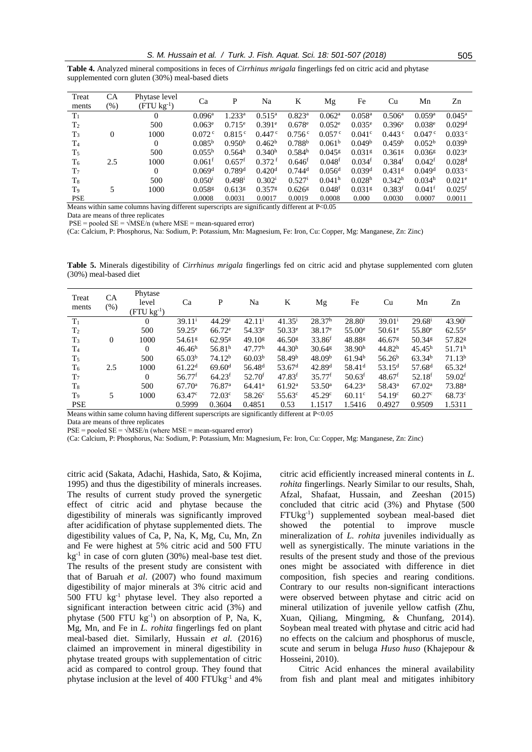|                                                 |  |  |  | Table 4. Analyzed mineral compositions in feces of <i>Cirrhinus mrigala</i> fingerlings fed on citric acid and phytase |  |  |
|-------------------------------------------------|--|--|--|------------------------------------------------------------------------------------------------------------------------|--|--|
| supplemented corn gluten (30%) meal-based diets |  |  |  |                                                                                                                        |  |  |

| Treat          | CA     | Phytase level           | Ca                   | P                    | Na                   | K                    |                      | Fe                   | Cu                   | Mn                   | Zn                   |  |
|----------------|--------|-------------------------|----------------------|----------------------|----------------------|----------------------|----------------------|----------------------|----------------------|----------------------|----------------------|--|
| ments          | $(\%)$ | $(FTU \text{ kg}^{-1})$ |                      |                      |                      |                      | Mg                   |                      |                      |                      |                      |  |
| $T_1$          |        | $\Omega$                | $0.096$ <sup>a</sup> | $1.233^{\rm a}$      | $0.515^{\rm a}$      | $0.823$ <sup>a</sup> | 0.062 <sup>a</sup>   | $0.058$ <sup>a</sup> | 0.506 <sup>a</sup>   | 0.059a               | $0.045^{\rm a}$      |  |
| T <sub>2</sub> |        | 500                     | $0.063^e$            | $0.715^{\circ}$      | $0.391^{\circ}$      | $0.678^{\circ}$      | $0.052^{\circ}$      | $0.035^{\circ}$      | $0.396^{\rm e}$      | $0.038^{\circ}$      | 0.029 <sup>d</sup>   |  |
| $T_3$          | 0      | 1000                    | $0.072$ c            | 0.815c               | $0.447$ $\degree$    | 0.756c               | 0.057c               | 0.041 <sup>c</sup>   | $0.443^{\circ}$      | $0.047$ c            | 0.033c               |  |
| T <sub>4</sub> |        | $\Omega$                | $0.085^{b}$          | 0.950 <sup>b</sup>   | 0.462 <sup>b</sup>   | 0.788 <sup>b</sup>   | 0.061 <sup>b</sup>   | 0.049 <sup>b</sup>   | 0.459 <sup>b</sup>   | 0.052 <sup>b</sup>   | 0.039 <sup>b</sup>   |  |
| T <sub>5</sub> |        | 500                     | $0.055^{\rm h}$      | 0.564 <sup>h</sup>   | 0.340 <sup>h</sup>   | 0.584 <sup>h</sup>   | $0.045$ <sup>g</sup> | $0.031$ <sup>g</sup> | $0.361$ <sup>g</sup> | $0.036$ <sup>g</sup> | $0.023^e$            |  |
| $T_6$          | 2.5    | 1000                    | $0.061$ <sup>f</sup> | $0.657$ <sup>f</sup> | 0.372 <sup>f</sup>   | 0.646 <sup>f</sup>   | 0.048 <sup>f</sup>   | 0.034 <sup>f</sup>   | 0.384 <sup>f</sup>   | 0.042 <sup>f</sup>   | 0.028 <sup>d</sup>   |  |
| T <sub>7</sub> |        | $\overline{0}$          | 0.069 <sup>d</sup>   | $0.789$ <sup>d</sup> | 0.420 <sup>d</sup>   | $0.744$ <sup>d</sup> | $0.056$ <sup>d</sup> | 0.039 <sup>d</sup>   | $0.431$ <sup>d</sup> | 0.049 <sup>d</sup>   | 0.033c               |  |
| $T_8$          |        | 500                     | $0.050^{i}$          | $0.498$ <sup>i</sup> | $0.302^{\rm i}$      | $0.527$ <sup>i</sup> | 0.041 <sup>h</sup>   | 0.028 <sup>h</sup>   | 0.342 <sup>h</sup>   | 0.034 <sup>h</sup>   | 0.021e               |  |
| T9             | 5      | 1000                    | $0.058$ <sup>g</sup> | $0.613$ <sup>g</sup> | $0.357$ <sup>g</sup> | $0.626$ <sup>g</sup> | 0.048 <sup>f</sup>   | 0.031 <sup>g</sup>   | $0.383$ <sup>f</sup> | $0.041$ <sup>f</sup> | $0.025$ <sup>f</sup> |  |
| <b>PSE</b>     |        |                         | 0.0008               | 0.0031               | 0.0017               | 0.0019               | 0.0008               | 0.000                | 0.0030               | 0.0007               | 0.0011               |  |

Means within same columns having different superscripts are significantly different at P<0.05

Data are means of three replicates

 $PSE =$  pooled  $SE = \sqrt{MSE/n}$  (where  $MSE =$  mean-squared error)

(Ca: Calcium, P: Phosphorus, Na: Sodium, P: Potassium, Mn: Magnesium, Fe: Iron, Cu: Copper, Mg: Manganese, Zn: Zinc)

**Table 5.** Minerals digestibility of *Cirrhinus mrigala* fingerlings fed on citric acid and phytase supplemented corn gluten (30%) meal-based diet

| Treat<br>ments | CA<br>$(\%)$ | Phytase<br>level<br>$(FTU kg-1)$ | Ca                   | P                    | Na                 | K                    | Mg                          | Fe                   | Cu                   | Mn                 | Zn                   |
|----------------|--------------|----------------------------------|----------------------|----------------------|--------------------|----------------------|-----------------------------|----------------------|----------------------|--------------------|----------------------|
| $T_1$          |              | $\Omega$                         | $39.11^{i}$          | 44.29 <sup>i</sup>   | $42.11^{i}$        | $41.35^{\rm i}$      | 28.37 <sup>h</sup>          | $28.80^{\rm i}$      | $39.01^{\rm i}$      | $29.68^{\rm i}$    | $43.90^{\rm i}$      |
| T <sub>2</sub> |              | 500                              | $59.25^{\circ}$      | $66.72^e$            | 54.33 <sup>e</sup> | $50.33^e$            | $38.17^e$                   | $55.00^{\circ}$      | $50.61^{\circ}$      | 55.80 <sup>e</sup> | $62.55^{\circ}$      |
| $T_3$          | $\theta$     | 1000                             | 54.61 <sup>g</sup>   | $62.95$ <sup>g</sup> | 49.10 <sup>g</sup> | 46.50 <sup>g</sup>   | 33.86 <sup>f</sup>          | 48.88 <sup>g</sup>   | $46.67$ <sup>g</sup> | 50.34 <sup>g</sup> | 57.82 <sup>g</sup>   |
| T <sub>4</sub> |              | 0                                | 46.46 <sup>h</sup>   | 56.81 <sup>h</sup>   | 47.77 <sup>h</sup> | 44.30 <sup>h</sup>   | $30.64$ <sup>g</sup>        | 38.90 <sup>h</sup>   | 44.82 <sup>h</sup>   | $45.45^h$          | 51.71 <sup>h</sup>   |
| $T_5$          |              | 500                              | 65.03 <sup>b</sup>   | 74.12 <sup>b</sup>   | 60.03 <sup>b</sup> | 58.49 <sup>b</sup>   | 48.09 <sup>b</sup>          | 61.94 <sup>b</sup>   | 56.26 <sup>b</sup>   | 63.34 <sup>b</sup> | 71.13 <sup>b</sup>   |
| $T_6$          | 2.5          | 1000                             | 61.22 <sup>d</sup>   | $69.60$ <sup>d</sup> | 56.48 <sup>d</sup> | 53.67 <sup>d</sup>   | 42.89 <sup>d</sup>          | $58.41$ <sup>d</sup> | 53.15 <sup>d</sup>   | 57.68 <sup>d</sup> | 65.32 <sup>d</sup>   |
| T <sub>7</sub> |              | $\Omega$                         | $56.77$ <sup>f</sup> | $64.23$ <sup>f</sup> | 52.70 <sup>f</sup> | $47.83$ <sup>f</sup> | $35.77^{\rm f}$             | $50.63$ <sup>f</sup> | 48.67 <sup>f</sup>   | $52.18^{f}$        | $59.02$ <sup>f</sup> |
| $T_8$          |              | 500                              | 67.70 <sup>a</sup>   | 76.87 <sup>a</sup>   | 64.41 <sup>a</sup> | 61.92 <sup>a</sup>   | $53.50^{\circ}$             | 64.23 <sup>a</sup>   | $58.43^{\circ}$      | 67.02 <sup>a</sup> | 73.88 <sup>a</sup>   |
| T9             | 5            | 1000                             | 63.47 <sup>c</sup>   | 72.03c               | 58.26 <sup>c</sup> | $55.63^{\circ}$      | 45.29 <sup>c</sup>          | $60.11$ <sup>c</sup> | 54.19 <sup>c</sup>   | 60.27c             | 68.73 <sup>c</sup>   |
| <b>PSE</b>     |              |                                  | 0.5999               | 0.3604               | 0.4851             | 0.53                 | 1.1517                      | 1.5416               | 0.4927               | 0.9509             | 1.5311               |
| . .            | $\cdots$     | $\sim$ $\sim$<br>$\sim$          | $\cdots$             |                      |                    | $\cdots$             | $\sim$ $\sim$ $\sim$ $\sim$ |                      |                      |                    |                      |

Means within same column having different superscripts are significantly different at P<0.05

Data are means of three replicates

 $PSE =$  pooled  $SE = \sqrt{MSE/n}$  (where  $MSE =$  mean-squared error)

(Ca: Calcium, P: Phosphorus, Na: Sodium, P: Potassium, Mn: Magnesium, Fe: Iron, Cu: Copper, Mg: Manganese, Zn: Zinc)

citric acid (Sakata, Adachi, Hashida, Sato, & Kojima, 1995) and thus the digestibility of minerals increases. The results of current study proved the synergetic effect of citric acid and phytase because the digestibility of minerals was significantly improved after acidification of phytase supplemented diets. The digestibility values of Ca, P, Na, K, Mg, Cu, Mn, Zn and Fe were highest at 5% citric acid and 500 FTU  $kg<sup>-1</sup>$  in case of corn gluten (30%) meal-base test diet. The results of the present study are consistent with that of Baruah *et al*. (2007) who found maximum digestibility of major minerals at 3% citric acid and 500 FTU kg-1 phytase level. They also reported a significant interaction between citric acid (3%) and phytase (500 FTU kg<sup>-1</sup>) on absorption of P, Na, K, Mg, Mn, and Fe in *L. rohita* fingerlings fed on plant meal-based diet. Similarly, Hussain *et al.* (2016) claimed an improvement in mineral digestibility in phytase treated groups with supplementation of citric acid as compared to control group. They found that phytase inclusion at the level of 400 FTUkg<sup>-1</sup> and 4% citric acid efficiently increased mineral contents in *L. rohita* fingerlings. Nearly Similar to our results, Shah, Afzal, Shafaat, Hussain, and Zeeshan (2015) concluded that citric acid (3%) and Phytase (500 FTUkg-1 ) supplemented soybean meal-based diet showed the potential to improve muscle mineralization of *L. rohita* juveniles individually as well as synergistically. The minute variations in the results of the present study and those of the previous ones might be associated with difference in diet composition, fish species and rearing conditions. Contrary to our results non-significant interactions were observed between phytase and citric acid on mineral utilization of juvenile yellow catfish (Zhu, Xuan, Qiliang, Mingming, & Chunfang, 2014). Soybean meal treated with phytase and citric acid had no effects on the calcium and phosphorus of muscle, scute and serum in beluga *Huso huso* (Khajepour & Hosseini, 2010).

Citric Acid enhances the mineral availability from fish and plant meal and mitigates inhibitory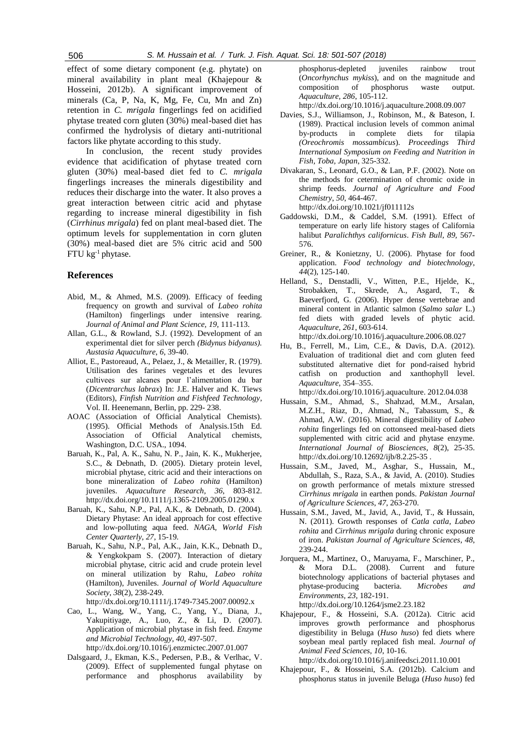effect of some dietary component (e.g. phytate) on mineral availability in plant meal (Khajepour & Hosseini, 2012b). A significant improvement of minerals (Ca, P, Na, K, Mg, Fe, Cu, Mn and Zn) retention in *C. mrigala* fingerlings fed on acidified phytase treated corn gluten (30%) meal-based diet has confirmed the hydrolysis of dietary anti-nutritional factors like phytate according to this study.

In conclusion, the recent study provides evidence that acidification of phytase treated corn gluten (30%) meal-based diet fed to *C. mrigala* fingerlings increases the minerals digestibility and reduces their discharge into the water. It also proves a great interaction between citric acid and phytase regarding to increase mineral digestibility in fish (*Cirrhinus mrigala*) fed on plant meal-based diet. The optimum levels for supplementation in corn gluten (30%) meal-based diet are 5% citric acid and 500 FTU kg-1 phytase.

## **References**

- Abid, M., & Ahmed, M.S. (2009). Efficacy of feeding frequency on growth and survival of *Labeo rohita* (Hamilton) fingerlings under intensive rearing. *Journal of Animal and Plant Science, 19*, 111-113.
- Allan, G.L., & Rowland, S.J. (1992). Development of an experimental diet for silver perch *(Bidynus bidyanus). Austasia Aquaculture*, *6*, 39-40.
- Alliot, E., Pastoreaud, A., Pelaez, J., & Metailler, R. (1979). Utilisation des farines vegetales et des levures cultivees sur alcanes pour l'alimentation du bar (*Dicentrarchus labrax*) In: J.E. Halver and K. Tiews (Editors), *Finfish Nutrition and Fishfeed Technology*, Vol. II. Heenemann, Berlin, pp. 229- 238.
- AOAC (Association of Official Analytical Chemists). (1995). Official Methods of Analysis.15th Ed. Association of Official Analytical chemists, Washington, D.C. USA., 1094.
- Baruah, K., Pal, A. K., Sahu, N. P., Jain, K. K., Mukherjee, S.C., & Debnath, D. (2005). Dietary protein level, microbial phytase, citric acid and their interactions on bone mineralization of *Labeo rohita* (Hamilton) juveniles. *Aquaculture Research, 36*, 803-812. http://dx.doi.org/10.1111/j.1365-2109.2005.01290.x
- Baruah, K., Sahu, N.P., Pal, A.K., & Debnath, D. (2004). Dietary Phytase: An ideal approach for cost effective and low-polluting aqua feed. *NAGA, World Fish Center Quarterly*, *27,* 15-19.
- Baruah, K., Sahu, N.P., Pal, A.K., Jain, K.K., Debnath D., & Yengkokpam S. (2007). Interaction of dietary microbial phytase, citric acid and crude protein level on mineral utilization by Rahu, *Labeo rohita* (Hamilton), Juveniles. *Journal of World Aquaculture Society*, *38*(2), 238-249.

http://dx.doi.org/10.1111/j.1749-7345.2007.00092.x

- Cao, L., Wang, W., Yang, C., Yang, Y., Diana, J., Yakupitiyage, A., Luo, Z., & Li, D. (2007). Application of microbial phytase in fish feed. *Enzyme and Microbial Technology, 40*, 497-507. http://dx.doi.org/10.1016/j.enzmictec.2007.01.007
- Dalsgaard, J., Ekman, K.S., Pedersen, P.B., & Verlhac, V. (2009). Effect of supplemented fungal phytase on performance and phosphorus availability by

phosphorus-depleted juveniles rainbow trout (*Oncorhynchus mykiss*), and on the magnitude and composition of phosphorus waste output. *Aquaculture, 286*, 105-112.

http://dx.doi.org/10.1016/j.aquaculture.2008.09.007

- Davies, S.J., Williamson, J., Robinson, M., & Bateson, I. (1989). Practical inclusion levels of common animal by-products in complete diets for tilapia *(Oreochromis mossambicus*). *Proceedings Third International Symposium on Feeding and Nutrition in Fish, Toba, Japan*, 325-332.
- Divakaran, S., Leonard, G.O., & Lan, P.F. (2002). Note on the methods for cetermination of chromic oxide in shrimp feeds. *Journal of Agriculture and Food Chemistry*, *50*, 464-467. <http://dx.doi.org/10.1021/jf011112s>
- Gaddowski, D.M., & Caddel, S.M. (1991). Effect of temperature on early life history stages of California halibut *Paralichthys californicus*. *Fish Bull, 89,* 567- 576.
- Greiner, R., & Konietzny, U. (2006). Phytase for food application. *Food technology and biotechnology*, *44*(2), 125-140.
- Helland, S., Denstadli, V., Witten, P.E., Hjelde, K., Strobakken, T., Skrede, A., Asgard, T., & Baeverfjord, G. (2006). Hyper dense vertebrae and mineral content in Atlantic salmon (*Salmo salar* L.) fed diets with graded levels of phytic acid. *Aquaculture*, *261*, 603-614.
- http://dx.doi.org/10.1016/j.aquaculture.2006.08.027 Hu, B., Ferrell, M., Lim, C.E., & Davis, D.A. (2012). Evaluation of traditional diet and corn gluten feed substituted alternative diet for pond-raised hybrid catfish on production and xanthophyll level. *Aquaculture*, 354–355.

http://dx.doi.org/10.1016/j.aquaculture. 2012.04.038

- Hussain, S.M., Ahmad, S., Shahzad, M.M., Arsalan, M.Z.H., Riaz, D., Ahmad, N., Tabassum, S., & Ahmad, A.W. (2016). Mineral digestibility of *Labeo rohita* fingerlings fed on cottonseed meal-based diets supplemented with citric acid and phytase enzyme. *International Journal of Biosciences*, *8*(2), 25-35. http://dx.doi.org/10.12692/ijb/8.2.25-35 .
- Hussain, S.M., Javed, M., Asghar, S., Hussain, M., Abdullah, S., Raza, S.A., & Javid, A. (2010). Studies on growth performance of metals mixture stressed *Cirrhinus mrigala* in earthen ponds. *Pakistan Journal of Agriculture Sciences*, *47*, 263-270.
- Hussain, S.M., Javed, M., Javid, A., Javid, T., & Hussain, N. (2011). Growth responses of *Catla catla*, *Labeo rohita* and *Cirrhinus mrigala* during chronic exposure of iron. *Pakistan Journal of Agriculture Sciences*, *48*, 239-244.
- Jorquera, M., Martinez, O., Maruyama, F., Marschiner, P., & Mora D.L. (2008). Current and future biotechnology applications of bacterial phytases and phytase-producing bacteria. *Microbes and Environments, 23*, 182-191. http://dx.doi.org/10.1264/jsme2.23.182
- [Khajepour,](http://www.sciencedirect.com/science/article/pii/S0377840111004159) F., & [Hosseini,](http://www.sciencedirect.com/science/article/pii/S0377840111004159) S.A. (2012a). Citric acid improves growth performance and phosphorus digestibility in Beluga (*Huso huso*) fed diets where soybean meal partly replaced fish meal*. Journal of Animal Feed Sciences*, *10*, 10-16.

http://dx.doi.org/10.1016/j.anifeedsci.2011.10.001

Khajepour, F., & [Hosseini,](http://www.sciencedirect.com/science/article/pii/S0377840111004159) S.A. (2012b). Calcium and phosphorus status in juvenile Beluga (*Huso huso*) fed